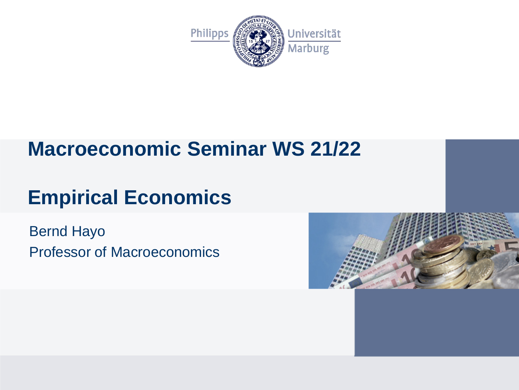

## **Macroeconomic Seminar WS 21/22**

# **Empirical Economics**

Bernd Hayo Professor of Macroeconomics

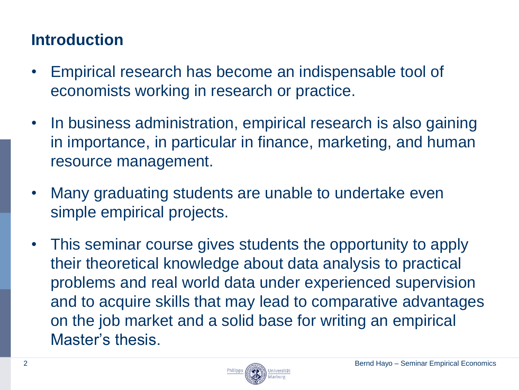## **Introduction**

- Empirical research has become an indispensable tool of economists working in research or practice.
- In business administration, empirical research is also gaining in importance, in particular in finance, marketing, and human resource management.
- Many graduating students are unable to undertake even simple empirical projects.

Philipps

• This seminar course gives students the opportunity to apply their theoretical knowledge about data analysis to practical problems and real world data under experienced supervision and to acquire skills that may lead to comparative advantages on the job market and a solid base for writing an empirical Master's thesis.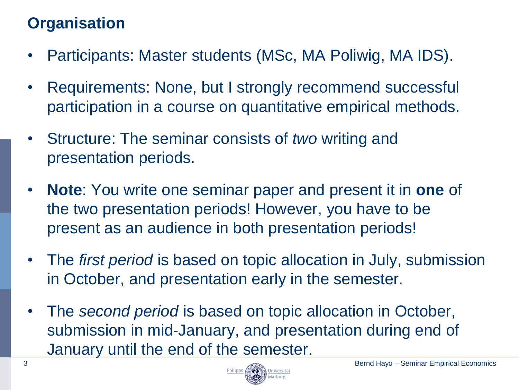## **Organisation**

- Participants: Master students (MSc, MA Poliwig, MA IDS).
- Requirements: None, but I strongly recommend successful participation in a course on quantitative empirical methods.
- Structure: The seminar consists of *two* writing and presentation periods.
- **Note**: You write one seminar paper and present it in **one** of the two presentation periods! However, you have to be present as an audience in both presentation periods!
- The *first period* is based on topic allocation in July, submission in October, and presentation early in the semester.
- The *second period* is based on topic allocation in October, submission in mid-January, and presentation during end of January until the end of the semester.

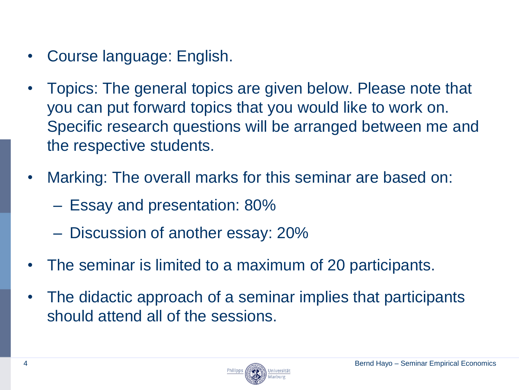- Course language: English.
- Topics: The general topics are given below. Please note that you can put forward topics that you would like to work on. Specific research questions will be arranged between me and the respective students.
- Marking: The overall marks for this seminar are based on:
	- Essay and presentation: 80%
	- Discussion of another essay: 20%
- The seminar is limited to a maximum of 20 participants.
- The didactic approach of a seminar implies that participants should attend all of the sessions.

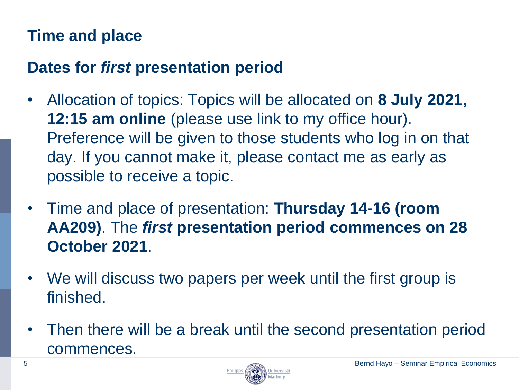## **Time and place**

#### **Dates for** *first* **presentation period**

- Allocation of topics: Topics will be allocated on **8 July 2021, 12:15 am online** (please use link to my office hour). Preference will be given to those students who log in on that day. If you cannot make it, please contact me as early as possible to receive a topic.
- Time and place of presentation: **Thursday 14-16 (room AA209)**. The *first* **presentation period commences on 28 October 2021**.
- We will discuss two papers per week until the first group is finished.
- Then there will be a break until the second presentation period commences.

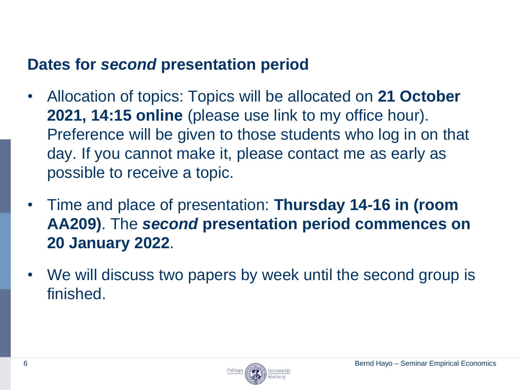#### **Dates for** *second* **presentation period**

- Allocation of topics: Topics will be allocated on **21 October 2021, 14:15 online** (please use link to my office hour). Preference will be given to those students who log in on that day. If you cannot make it, please contact me as early as possible to receive a topic.
- Time and place of presentation: **Thursday 14-16 in (room AA209)**. The *second* **presentation period commences on 20 January 2022**.
- We will discuss two papers by week until the second group is finished.



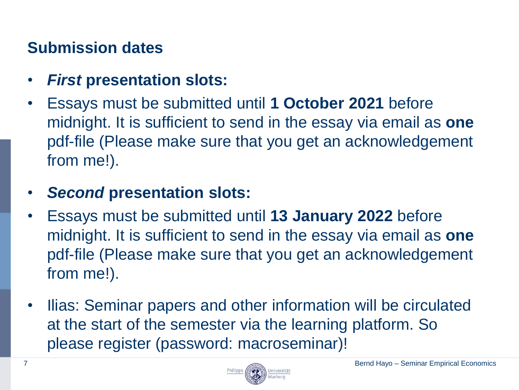## **Submission dates**

- *First* **presentation slots:**
- Essays must be submitted until **1 October 2021** before midnight. It is sufficient to send in the essay via email as **one** pdf-file (Please make sure that you get an acknowledgement from me!).
- *Second* **presentation slots:**
- Essays must be submitted until **13 January 2022** before midnight. It is sufficient to send in the essay via email as **one** pdf-file (Please make sure that you get an acknowledgement from me!).
- Ilias: Seminar papers and other information will be circulated at the start of the semester via the learning platform. So please register (password: macroseminar)!

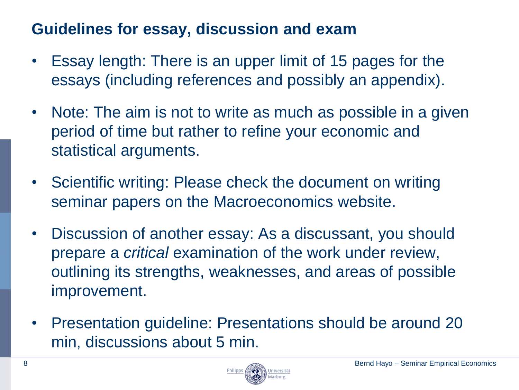#### **Guidelines for essay, discussion and exam**

- Essay length: There is an upper limit of 15 pages for the essays (including references and possibly an appendix).
- Note: The aim is not to write as much as possible in a given period of time but rather to refine your economic and statistical arguments.
- Scientific writing: Please check the document on writing seminar papers on the Macroeconomics website.
- Discussion of another essay: As a discussant, you should prepare a *critical* examination of the work under review, outlining its strengths, weaknesses, and areas of possible improvement.
- Presentation guideline: Presentations should be around 20 min, discussions about 5 min.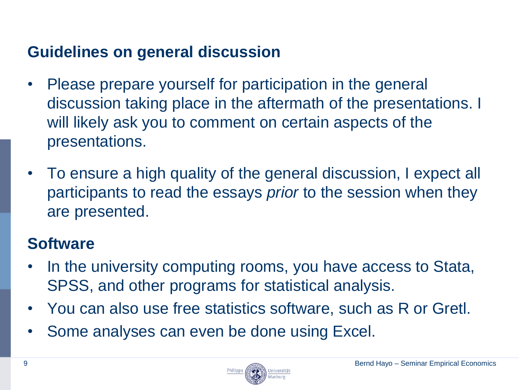## **Guidelines on general discussion**

- Please prepare yourself for participation in the general discussion taking place in the aftermath of the presentations. I will likely ask you to comment on certain aspects of the presentations.
- To ensure a high quality of the general discussion, I expect all participants to read the essays *prior* to the session when they are presented.

#### **Software**

- In the university computing rooms, you have access to Stata, SPSS, and other programs for statistical analysis.
- You can also use free statistics software, such as R or Gretl.
- Some analyses can even be done using Excel.

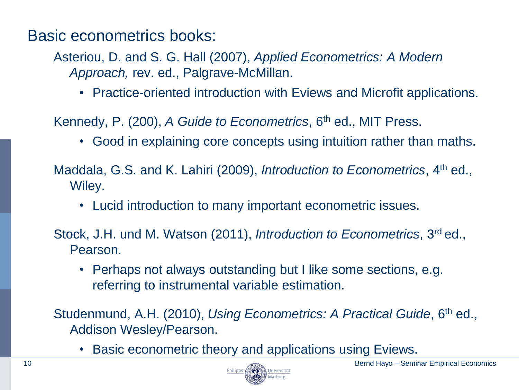Basic econometrics books:

Asteriou, D. and S. G. Hall (2007), *Applied Econometrics: A Modern Approach,* rev. ed., Palgrave-McMillan.

• Practice-oriented introduction with Eviews and Microfit applications.

Kennedy, P. (200), *A Guide to Econometrics*, 6th ed., MIT Press.

• Good in explaining core concepts using intuition rather than maths.

Maddala, G.S. and K. Lahiri (2009), *Introduction to Econometrics*, 4th ed., Wiley.

• Lucid introduction to many important econometric issues.

Stock, J.H. und M. Watson (2011), *Introduction to Econometrics*, 3rd ed., Pearson.

• Perhaps not always outstanding but I like some sections, e.g. referring to instrumental variable estimation.

Studenmund, A.H. (2010), *Using Econometrics: A Practical Guide*, 6th ed., Addison Wesley/Pearson.

• Basic econometric theory and applications using Eviews.

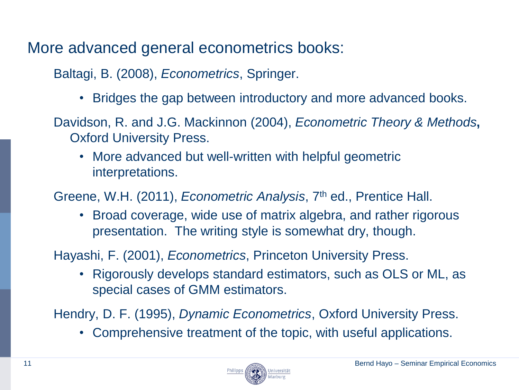More advanced general econometrics books:

Baltagi, B. (2008), *Econometrics*, Springer.

- Bridges the gap between introductory and more advanced books.
- Davidson, R. and J.G. Mackinnon (2004), *Econometric Theory & Methods***,** Oxford University Press.
	- More advanced but well-written with helpful geometric interpretations.

Greene, W.H. (2011), *Econometric Analysis*, 7th ed., Prentice Hall.

• Broad coverage, wide use of matrix algebra, and rather rigorous presentation. The writing style is somewhat dry, though.

Hayashi, F. (2001), *Econometrics*, Princeton University Press.

• Rigorously develops standard estimators, such as OLS or ML, as special cases of GMM estimators.

Hendry, D. F. (1995), *Dynamic Econometrics*, Oxford University Press.

• Comprehensive treatment of the topic, with useful applications.

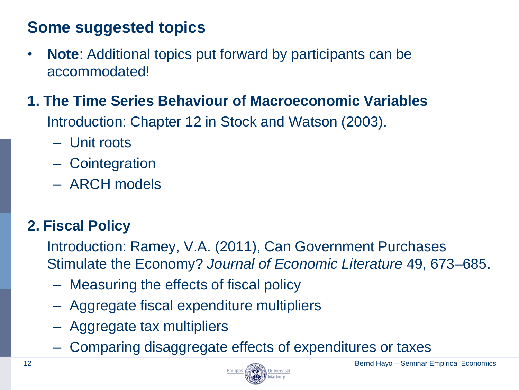## **Some suggested topics**

- **Note**: Additional topics put forward by participants can be accommodated!
- **1. The Time Series Behaviour of Macroeconomic Variables**

Introduction: Chapter 12 in Stock and Watson (2003).

- Unit roots
- Cointegration
- ARCH models

## **2. Fiscal Policy**

Introduction: Ramey, V.A. (2011), Can Government Purchases Stimulate the Economy? *Journal of Economic Literature* 49, 673–685.

- Measuring the effects of fiscal policy
- Aggregate fiscal expenditure multipliers
- Aggregate tax multipliers
- Comparing disaggregate effects of expenditures or taxes

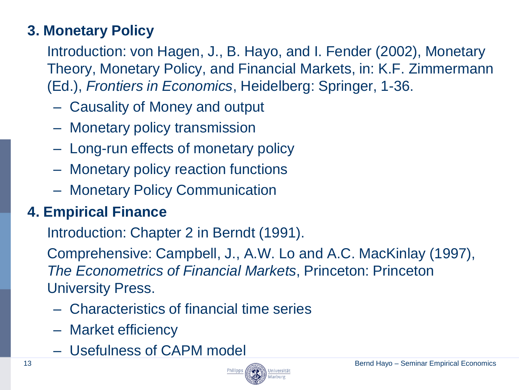#### **3. Monetary Policy**

Introduction: von Hagen, J., B. Hayo, and I. Fender (2002), Monetary Theory, Monetary Policy, and Financial Markets, in: K.F. Zimmermann (Ed.), *Frontiers in Economics*, Heidelberg: Springer, 1-36.

- Causality of Money and output
- Monetary policy transmission
- Long-run effects of monetary policy
- Monetary policy reaction functions
- Monetary Policy Communication

#### **4. Empirical Finance**

Introduction: Chapter 2 in Berndt (1991).

Comprehensive: Campbell, J., A.W. Lo and A.C. MacKinlay (1997), *The Econometrics of Financial Markets*, Princeton: Princeton University Press.

- Characteristics of financial time series
- Market efficiency
- Usefulness of CAPM model

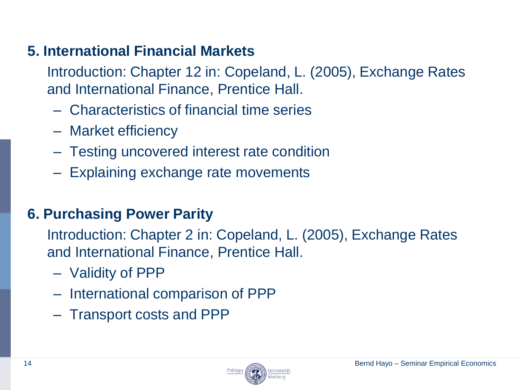#### **5. International Financial Markets**

Introduction: Chapter 12 in: Copeland, L. (2005), Exchange Rates and International Finance, Prentice Hall.

- Characteristics of financial time series
- Market efficiency
- Testing uncovered interest rate condition
- Explaining exchange rate movements

#### **6. Purchasing Power Parity**

Introduction: Chapter 2 in: Copeland, L. (2005), Exchange Rates and International Finance, Prentice Hall.

- Validity of PPP
- International comparison of PPP
- Transport costs and PPP

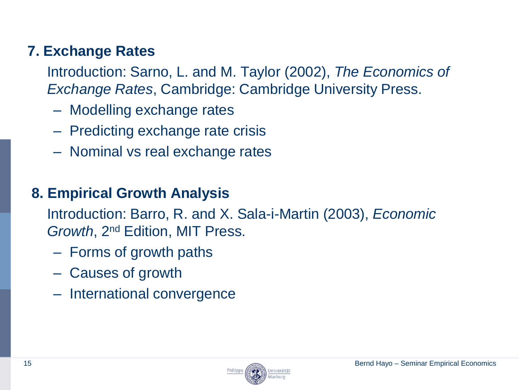#### **7. Exchange Rates**

Introduction: Sarno, L. and M. Taylor (2002), *The Economics of Exchange Rates*, Cambridge: Cambridge University Press.

- Modelling exchange rates
- Predicting exchange rate crisis
- Nominal vs real exchange rates

#### **8. Empirical Growth Analysis**

Introduction: Barro, R. and X. Sala-i-Martin (2003), *Economic Growth*, 2nd Edition, MIT Press.

- Forms of growth paths
- Causes of growth
- International convergence

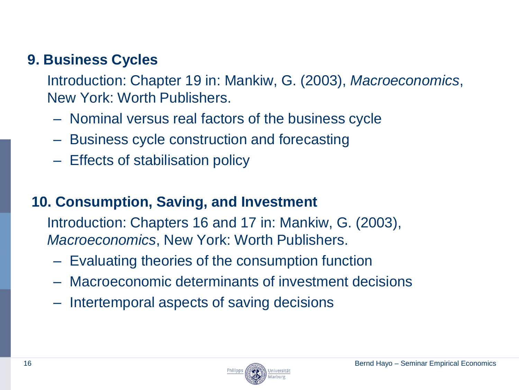#### **9. Business Cycles**

Introduction: Chapter 19 in: Mankiw, G. (2003), *Macroeconomics*, New York: Worth Publishers.

- Nominal versus real factors of the business cycle
- Business cycle construction and forecasting
- Effects of stabilisation policy

#### **10. Consumption, Saving, and Investment**

Introduction: Chapters 16 and 17 in: Mankiw, G. (2003), *Macroeconomics*, New York: Worth Publishers.

- Evaluating theories of the consumption function
- Macroeconomic determinants of investment decisions
- Intertemporal aspects of saving decisions



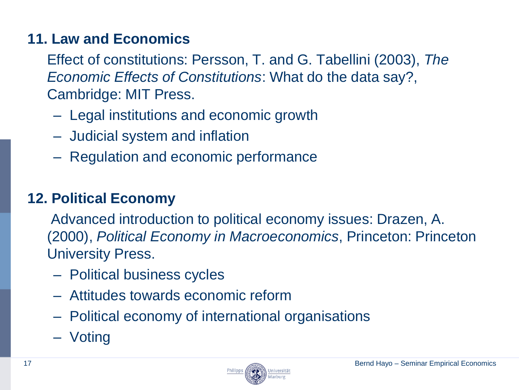#### **11. Law and Economics**

Effect of constitutions: Persson, T. and G. Tabellini (2003), *The Economic Effects of Constitutions*: What do the data say?, Cambridge: MIT Press.

- Legal institutions and economic growth
- Judicial system and inflation
- Regulation and economic performance

#### **12. Political Economy**

Advanced introduction to political economy issues: Drazen, A. (2000), *Political Economy in Macroeconomics*, Princeton: Princeton University Press.

- Political business cycles
- Attitudes towards economic reform
- Political economy of international organisations
- Voting